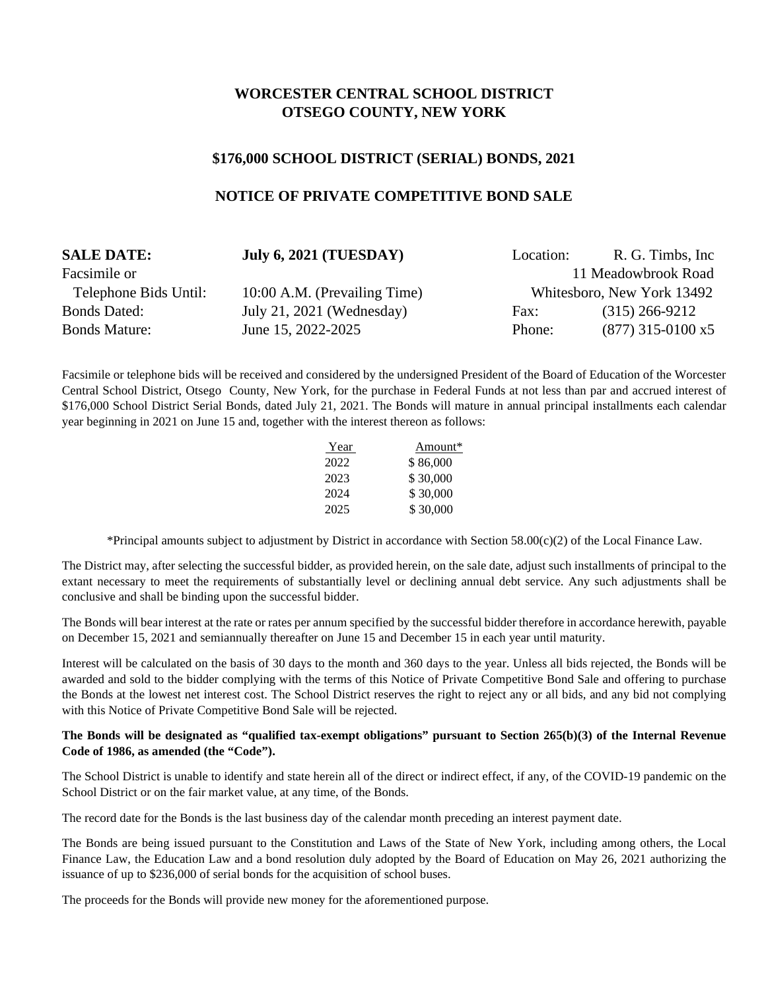# **WORCESTER CENTRAL SCHOOL DISTRICT OTSEGO COUNTY, NEW YORK**

### **\$176,000 SCHOOL DISTRICT (SERIAL) BONDS, 2021**

## **NOTICE OF PRIVATE COMPETITIVE BOND SALE**

| <b>SALE DATE:</b>     | <b>July 6, 2021 (TUESDAY)</b> | Location: | R. G. Timbs, Inc.          |
|-----------------------|-------------------------------|-----------|----------------------------|
| Facsimile or          |                               |           | 11 Meadowbrook Road        |
| Telephone Bids Until: | 10:00 A.M. (Prevailing Time)  |           | Whitesboro, New York 13492 |
| <b>Bonds Dated:</b>   | July 21, 2021 (Wednesday)     | Fax:      | $(315)$ 266-9212           |
| <b>Bonds Mature:</b>  | June 15, 2022-2025            | Phone:    | $(877)$ 315-0100 x5        |

Facsimile or telephone bids will be received and considered by the undersigned President of the Board of Education of the Worcester Central School District, Otsego County, New York, for the purchase in Federal Funds at not less than par and accrued interest of \$176,000 School District Serial Bonds, dated July 21, 2021. The Bonds will mature in annual principal installments each calendar year beginning in 2021 on June 15 and, together with the interest thereon as follows:

| <u>Year</u> | Amount*  |
|-------------|----------|
| 2022        | \$86,000 |
| 2023        | \$30,000 |
| 2024        | \$30,000 |
| 2025        | \$30,000 |

\*Principal amounts subject to adjustment by District in accordance with Section 58.00(c)(2) of the Local Finance Law.

The District may, after selecting the successful bidder, as provided herein, on the sale date, adjust such installments of principal to the extant necessary to meet the requirements of substantially level or declining annual debt service. Any such adjustments shall be conclusive and shall be binding upon the successful bidder.

The Bonds will bear interest at the rate or rates per annum specified by the successful bidder therefore in accordance herewith, payable on December 15, 2021 and semiannually thereafter on June 15 and December 15 in each year until maturity.

Interest will be calculated on the basis of 30 days to the month and 360 days to the year. Unless all bids rejected, the Bonds will be awarded and sold to the bidder complying with the terms of this Notice of Private Competitive Bond Sale and offering to purchase the Bonds at the lowest net interest cost. The School District reserves the right to reject any or all bids, and any bid not complying with this Notice of Private Competitive Bond Sale will be rejected.

#### **The Bonds will be designated as "qualified tax-exempt obligations" pursuant to Section 265(b)(3) of the Internal Revenue Code of 1986, as amended (the "Code").**

The School District is unable to identify and state herein all of the direct or indirect effect, if any, of the COVID-19 pandemic on the School District or on the fair market value, at any time, of the Bonds.

The record date for the Bonds is the last business day of the calendar month preceding an interest payment date.

The Bonds are being issued pursuant to the Constitution and Laws of the State of New York, including among others, the Local Finance Law, the Education Law and a bond resolution duly adopted by the Board of Education on May 26, 2021 authorizing the issuance of up to \$236,000 of serial bonds for the acquisition of school buses.

The proceeds for the Bonds will provide new money for the aforementioned purpose.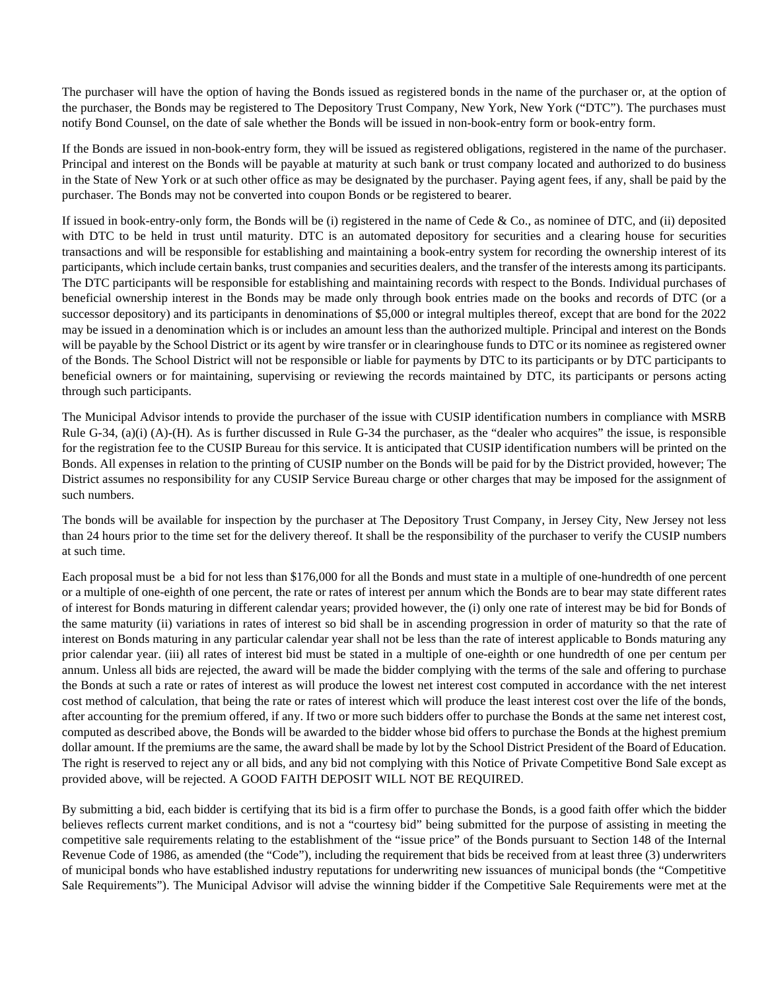The purchaser will have the option of having the Bonds issued as registered bonds in the name of the purchaser or, at the option of the purchaser, the Bonds may be registered to The Depository Trust Company, New York, New York ("DTC"). The purchases must notify Bond Counsel, on the date of sale whether the Bonds will be issued in non-book-entry form or book-entry form.

If the Bonds are issued in non-book-entry form, they will be issued as registered obligations, registered in the name of the purchaser. Principal and interest on the Bonds will be payable at maturity at such bank or trust company located and authorized to do business in the State of New York or at such other office as may be designated by the purchaser. Paying agent fees, if any, shall be paid by the purchaser. The Bonds may not be converted into coupon Bonds or be registered to bearer.

If issued in book-entry-only form, the Bonds will be (i) registered in the name of Cede & Co., as nominee of DTC, and (ii) deposited with DTC to be held in trust until maturity. DTC is an automated depository for securities and a clearing house for securities transactions and will be responsible for establishing and maintaining a book-entry system for recording the ownership interest of its participants, which include certain banks, trust companies and securities dealers, and the transfer of the interests among its participants. The DTC participants will be responsible for establishing and maintaining records with respect to the Bonds. Individual purchases of beneficial ownership interest in the Bonds may be made only through book entries made on the books and records of DTC (or a successor depository) and its participants in denominations of \$5,000 or integral multiples thereof, except that are bond for the 2022 may be issued in a denomination which is or includes an amount less than the authorized multiple. Principal and interest on the Bonds will be payable by the School District or its agent by wire transfer or in clearinghouse funds to DTC or its nominee as registered owner of the Bonds. The School District will not be responsible or liable for payments by DTC to its participants or by DTC participants to beneficial owners or for maintaining, supervising or reviewing the records maintained by DTC, its participants or persons acting through such participants.

The Municipal Advisor intends to provide the purchaser of the issue with CUSIP identification numbers in compliance with MSRB Rule G-34, (a)(i) (A)-(H). As is further discussed in Rule G-34 the purchaser, as the "dealer who acquires" the issue, is responsible for the registration fee to the CUSIP Bureau for this service. It is anticipated that CUSIP identification numbers will be printed on the Bonds. All expenses in relation to the printing of CUSIP number on the Bonds will be paid for by the District provided, however; The District assumes no responsibility for any CUSIP Service Bureau charge or other charges that may be imposed for the assignment of such numbers.

The bonds will be available for inspection by the purchaser at The Depository Trust Company, in Jersey City, New Jersey not less than 24 hours prior to the time set for the delivery thereof. It shall be the responsibility of the purchaser to verify the CUSIP numbers at such time.

Each proposal must be a bid for not less than \$176,000 for all the Bonds and must state in a multiple of one-hundredth of one percent or a multiple of one-eighth of one percent, the rate or rates of interest per annum which the Bonds are to bear may state different rates of interest for Bonds maturing in different calendar years; provided however, the (i) only one rate of interest may be bid for Bonds of the same maturity (ii) variations in rates of interest so bid shall be in ascending progression in order of maturity so that the rate of interest on Bonds maturing in any particular calendar year shall not be less than the rate of interest applicable to Bonds maturing any prior calendar year. (iii) all rates of interest bid must be stated in a multiple of one-eighth or one hundredth of one per centum per annum. Unless all bids are rejected, the award will be made the bidder complying with the terms of the sale and offering to purchase the Bonds at such a rate or rates of interest as will produce the lowest net interest cost computed in accordance with the net interest cost method of calculation, that being the rate or rates of interest which will produce the least interest cost over the life of the bonds, after accounting for the premium offered, if any. If two or more such bidders offer to purchase the Bonds at the same net interest cost, computed as described above, the Bonds will be awarded to the bidder whose bid offers to purchase the Bonds at the highest premium dollar amount. If the premiums are the same, the award shall be made by lot by the School District President of the Board of Education. The right is reserved to reject any or all bids, and any bid not complying with this Notice of Private Competitive Bond Sale except as provided above, will be rejected. A GOOD FAITH DEPOSIT WILL NOT BE REQUIRED.

By submitting a bid, each bidder is certifying that its bid is a firm offer to purchase the Bonds, is a good faith offer which the bidder believes reflects current market conditions, and is not a "courtesy bid" being submitted for the purpose of assisting in meeting the competitive sale requirements relating to the establishment of the "issue price" of the Bonds pursuant to Section 148 of the Internal Revenue Code of 1986, as amended (the "Code"), including the requirement that bids be received from at least three (3) underwriters of municipal bonds who have established industry reputations for underwriting new issuances of municipal bonds (the "Competitive Sale Requirements"). The Municipal Advisor will advise the winning bidder if the Competitive Sale Requirements were met at the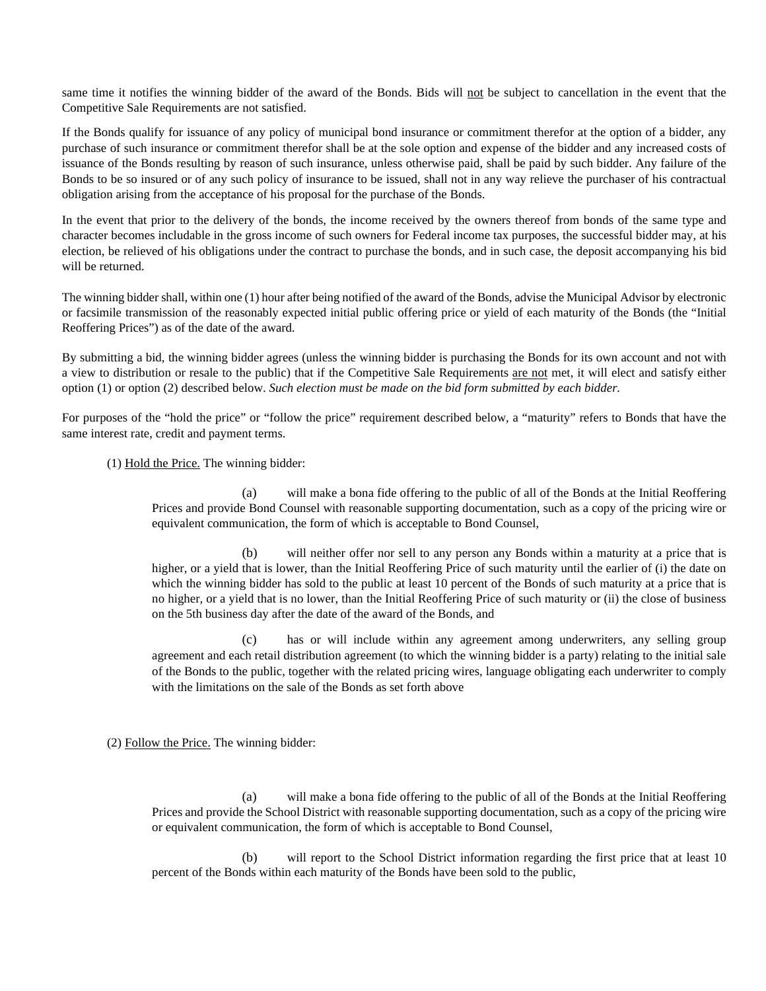same time it notifies the winning bidder of the award of the Bonds. Bids will not be subject to cancellation in the event that the Competitive Sale Requirements are not satisfied.

If the Bonds qualify for issuance of any policy of municipal bond insurance or commitment therefor at the option of a bidder, any purchase of such insurance or commitment therefor shall be at the sole option and expense of the bidder and any increased costs of issuance of the Bonds resulting by reason of such insurance, unless otherwise paid, shall be paid by such bidder. Any failure of the Bonds to be so insured or of any such policy of insurance to be issued, shall not in any way relieve the purchaser of his contractual obligation arising from the acceptance of his proposal for the purchase of the Bonds.

In the event that prior to the delivery of the bonds, the income received by the owners thereof from bonds of the same type and character becomes includable in the gross income of such owners for Federal income tax purposes, the successful bidder may, at his election, be relieved of his obligations under the contract to purchase the bonds, and in such case, the deposit accompanying his bid will be returned.

The winning bidder shall, within one (1) hour after being notified of the award of the Bonds, advise the Municipal Advisor by electronic or facsimile transmission of the reasonably expected initial public offering price or yield of each maturity of the Bonds (the "Initial Reoffering Prices") as of the date of the award.

By submitting a bid, the winning bidder agrees (unless the winning bidder is purchasing the Bonds for its own account and not with a view to distribution or resale to the public) that if the Competitive Sale Requirements are not met, it will elect and satisfy either option (1) or option (2) described below. *Such election must be made on the bid form submitted by each bidder.* 

For purposes of the "hold the price" or "follow the price" requirement described below, a "maturity" refers to Bonds that have the same interest rate, credit and payment terms.

(1) Hold the Price. The winning bidder:

(a) will make a bona fide offering to the public of all of the Bonds at the Initial Reoffering Prices and provide Bond Counsel with reasonable supporting documentation, such as a copy of the pricing wire or equivalent communication, the form of which is acceptable to Bond Counsel,

(b) will neither offer nor sell to any person any Bonds within a maturity at a price that is higher, or a yield that is lower, than the Initial Reoffering Price of such maturity until the earlier of (i) the date on which the winning bidder has sold to the public at least 10 percent of the Bonds of such maturity at a price that is no higher, or a yield that is no lower, than the Initial Reoffering Price of such maturity or (ii) the close of business on the 5th business day after the date of the award of the Bonds, and

(c) has or will include within any agreement among underwriters, any selling group agreement and each retail distribution agreement (to which the winning bidder is a party) relating to the initial sale of the Bonds to the public, together with the related pricing wires, language obligating each underwriter to comply with the limitations on the sale of the Bonds as set forth above

(2) Follow the Price. The winning bidder:

(a) will make a bona fide offering to the public of all of the Bonds at the Initial Reoffering Prices and provide the School District with reasonable supporting documentation, such as a copy of the pricing wire or equivalent communication, the form of which is acceptable to Bond Counsel,

(b) will report to the School District information regarding the first price that at least 10 percent of the Bonds within each maturity of the Bonds have been sold to the public,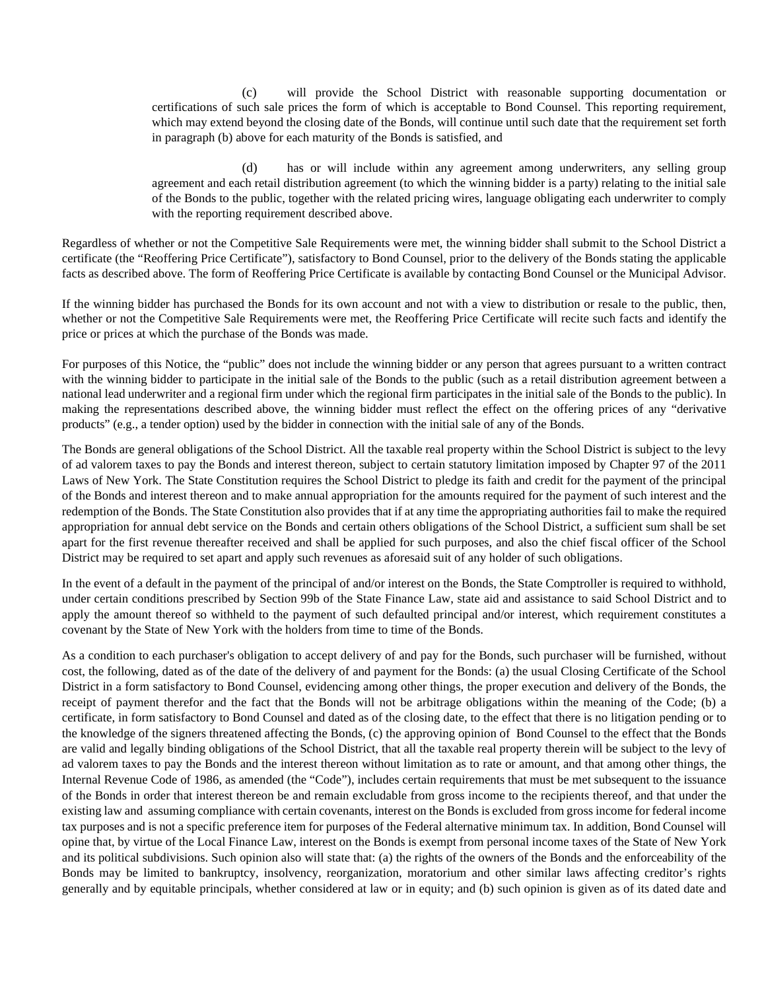(c) will provide the School District with reasonable supporting documentation or certifications of such sale prices the form of which is acceptable to Bond Counsel. This reporting requirement, which may extend beyond the closing date of the Bonds, will continue until such date that the requirement set forth in paragraph (b) above for each maturity of the Bonds is satisfied, and

(d) has or will include within any agreement among underwriters, any selling group agreement and each retail distribution agreement (to which the winning bidder is a party) relating to the initial sale of the Bonds to the public, together with the related pricing wires, language obligating each underwriter to comply with the reporting requirement described above.

Regardless of whether or not the Competitive Sale Requirements were met, the winning bidder shall submit to the School District a certificate (the "Reoffering Price Certificate"), satisfactory to Bond Counsel, prior to the delivery of the Bonds stating the applicable facts as described above. The form of Reoffering Price Certificate is available by contacting Bond Counsel or the Municipal Advisor.

If the winning bidder has purchased the Bonds for its own account and not with a view to distribution or resale to the public, then, whether or not the Competitive Sale Requirements were met, the Reoffering Price Certificate will recite such facts and identify the price or prices at which the purchase of the Bonds was made.

For purposes of this Notice, the "public" does not include the winning bidder or any person that agrees pursuant to a written contract with the winning bidder to participate in the initial sale of the Bonds to the public (such as a retail distribution agreement between a national lead underwriter and a regional firm under which the regional firm participates in the initial sale of the Bonds to the public). In making the representations described above, the winning bidder must reflect the effect on the offering prices of any "derivative products" (e.g., a tender option) used by the bidder in connection with the initial sale of any of the Bonds.

The Bonds are general obligations of the School District. All the taxable real property within the School District is subject to the levy of ad valorem taxes to pay the Bonds and interest thereon, subject to certain statutory limitation imposed by Chapter 97 of the 2011 Laws of New York. The State Constitution requires the School District to pledge its faith and credit for the payment of the principal of the Bonds and interest thereon and to make annual appropriation for the amounts required for the payment of such interest and the redemption of the Bonds. The State Constitution also provides that if at any time the appropriating authorities fail to make the required appropriation for annual debt service on the Bonds and certain others obligations of the School District, a sufficient sum shall be set apart for the first revenue thereafter received and shall be applied for such purposes, and also the chief fiscal officer of the School District may be required to set apart and apply such revenues as aforesaid suit of any holder of such obligations.

In the event of a default in the payment of the principal of and/or interest on the Bonds, the State Comptroller is required to withhold, under certain conditions prescribed by Section 99b of the State Finance Law, state aid and assistance to said School District and to apply the amount thereof so withheld to the payment of such defaulted principal and/or interest, which requirement constitutes a covenant by the State of New York with the holders from time to time of the Bonds.

As a condition to each purchaser's obligation to accept delivery of and pay for the Bonds, such purchaser will be furnished, without cost, the following, dated as of the date of the delivery of and payment for the Bonds: (a) the usual Closing Certificate of the School District in a form satisfactory to Bond Counsel, evidencing among other things, the proper execution and delivery of the Bonds, the receipt of payment therefor and the fact that the Bonds will not be arbitrage obligations within the meaning of the Code; (b) a certificate, in form satisfactory to Bond Counsel and dated as of the closing date, to the effect that there is no litigation pending or to the knowledge of the signers threatened affecting the Bonds, (c) the approving opinion of Bond Counsel to the effect that the Bonds are valid and legally binding obligations of the School District, that all the taxable real property therein will be subject to the levy of ad valorem taxes to pay the Bonds and the interest thereon without limitation as to rate or amount, and that among other things, the Internal Revenue Code of 1986, as amended (the "Code"), includes certain requirements that must be met subsequent to the issuance of the Bonds in order that interest thereon be and remain excludable from gross income to the recipients thereof, and that under the existing law and assuming compliance with certain covenants, interest on the Bonds is excluded from gross income for federal income tax purposes and is not a specific preference item for purposes of the Federal alternative minimum tax. In addition, Bond Counsel will opine that, by virtue of the Local Finance Law, interest on the Bonds is exempt from personal income taxes of the State of New York and its political subdivisions. Such opinion also will state that: (a) the rights of the owners of the Bonds and the enforceability of the Bonds may be limited to bankruptcy, insolvency, reorganization, moratorium and other similar laws affecting creditor's rights generally and by equitable principals, whether considered at law or in equity; and (b) such opinion is given as of its dated date and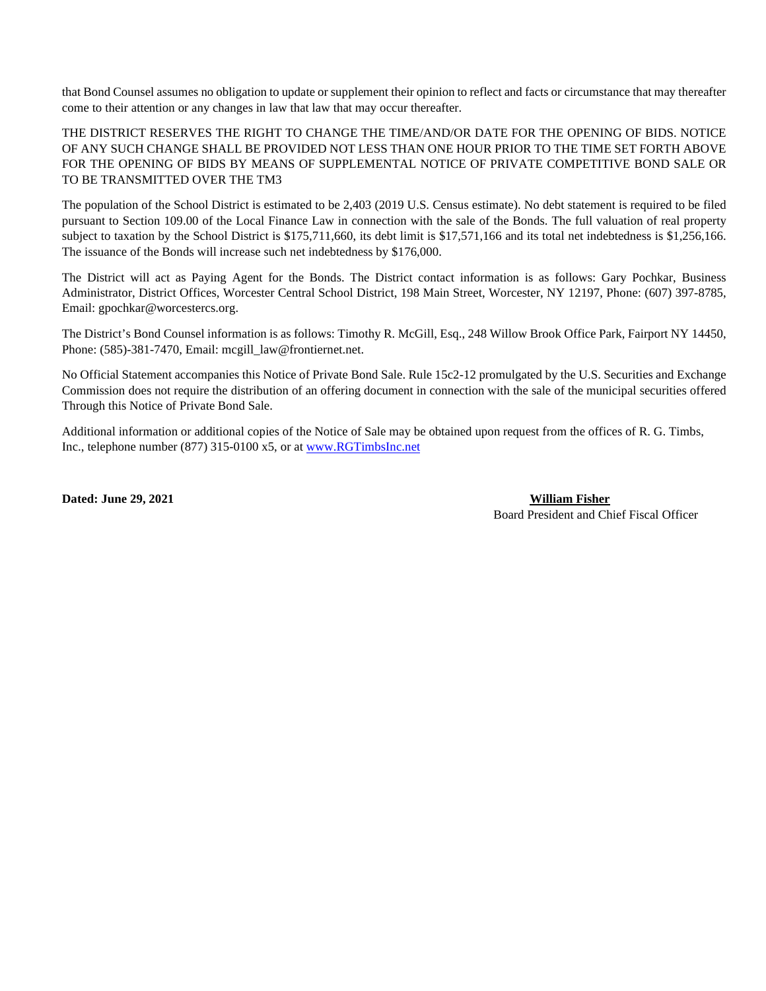that Bond Counsel assumes no obligation to update or supplement their opinion to reflect and facts or circumstance that may thereafter come to their attention or any changes in law that law that may occur thereafter.

THE DISTRICT RESERVES THE RIGHT TO CHANGE THE TIME/AND/OR DATE FOR THE OPENING OF BIDS. NOTICE OF ANY SUCH CHANGE SHALL BE PROVIDED NOT LESS THAN ONE HOUR PRIOR TO THE TIME SET FORTH ABOVE FOR THE OPENING OF BIDS BY MEANS OF SUPPLEMENTAL NOTICE OF PRIVATE COMPETITIVE BOND SALE OR TO BE TRANSMITTED OVER THE TM3

The population of the School District is estimated to be 2,403 (2019 U.S. Census estimate). No debt statement is required to be filed pursuant to Section 109.00 of the Local Finance Law in connection with the sale of the Bonds. The full valuation of real property subject to taxation by the School District is \$175,711,660, its debt limit is \$17,571,166 and its total net indebtedness is \$1,256,166. The issuance of the Bonds will increase such net indebtedness by \$176,000.

The District will act as Paying Agent for the Bonds. The District contact information is as follows: Gary Pochkar, Business Administrator, District Offices, Worcester Central School District, 198 Main Street, Worcester, NY 12197, Phone: (607) 397-8785, Email: gpochkar@worcestercs.org.

The District's Bond Counsel information is as follows: Timothy R. McGill, Esq., 248 Willow Brook Office Park, Fairport NY 14450, Phone: (585)-381-7470, Email: mcgill\_law@frontiernet.net.

No Official Statement accompanies this Notice of Private Bond Sale. Rule 15c2-12 promulgated by the U.S. Securities and Exchange Commission does not require the distribution of an offering document in connection with the sale of the municipal securities offered Through this Notice of Private Bond Sale.

Additional information or additional copies of the Notice of Sale may be obtained upon request from the offices of R. G. Timbs, Inc., telephone number (877) 315-0100 x5, or a[t www.RGTimbsInc.net](http://www.rgtimbsinc.net/)

**Dated: June 29, 2021 William Fisher**  Board President and Chief Fiscal Officer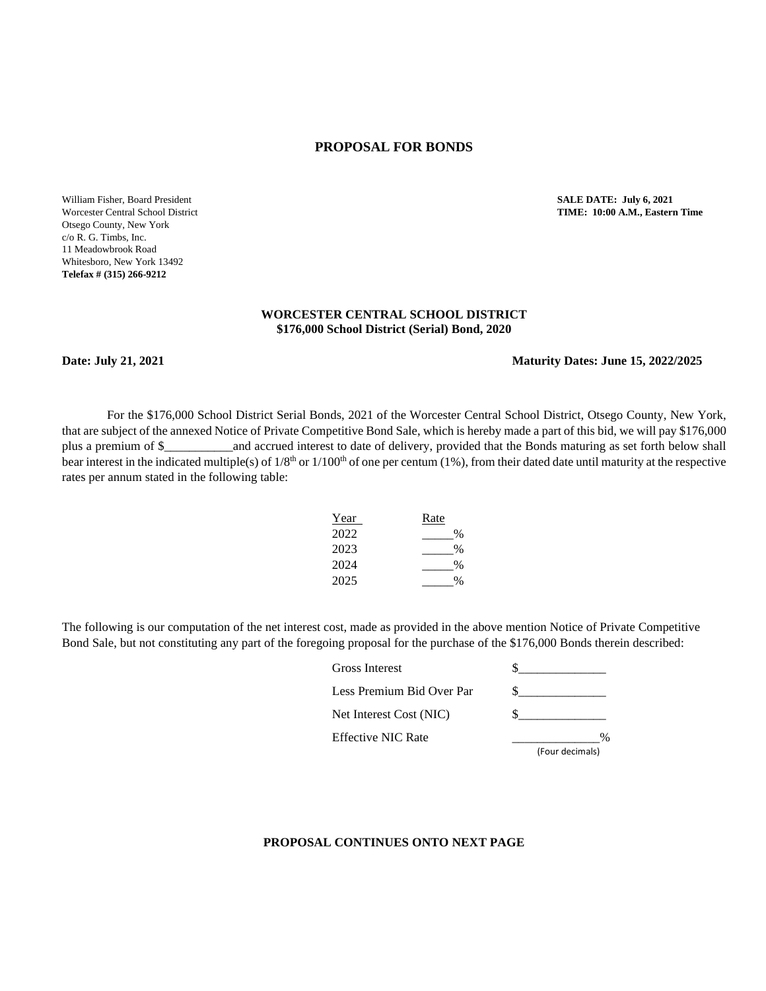#### **PROPOSAL FOR BONDS**

William Fisher, Board President **SALE DATE: July 6, 2021** Otsego County, New York c/o R. G. Timbs, Inc. 11 Meadowbrook Road Whitesboro, New York 13492 **Telefax # (315) 266-9212** 

# Worcester Central School District **TIME: 10:00 A.M., Eastern Time**

#### **WORCESTER CENTRAL SCHOOL DISTRICT \$176,000 School District (Serial) Bond, 2020**

#### **Date: July 21, 2021 Maturity Dates: June 15, 2022/2025**

For the \$176,000 School District Serial Bonds, 2021 of the Worcester Central School District, Otsego County, New York, that are subject of the annexed Notice of Private Competitive Bond Sale, which is hereby made a part of this bid, we will pay \$176,000 plus a premium of \$\_\_\_\_\_\_\_\_\_\_\_and accrued interest to date of delivery, provided that the Bonds maturing as set forth below shall bear interest in the indicated multiple(s) of  $1/8<sup>th</sup>$  or  $1/100<sup>th</sup>$  of one per centum (1%), from their dated date until maturity at the respective rates per annum stated in the following table:

| Year | Rate |
|------|------|
| 2022 | $\%$ |
| 2023 | %    |
| 2024 | $\%$ |
| 2025 | 0/6  |

The following is our computation of the net interest cost, made as provided in the above mention Notice of Private Competitive Bond Sale, but not constituting any part of the foregoing proposal for the purchase of the \$176,000 Bonds therein described:

| <b>Gross Interest</b>     |                 |
|---------------------------|-----------------|
| Less Premium Bid Over Par |                 |
| Net Interest Cost (NIC)   |                 |
| <b>Effective NIC Rate</b> |                 |
|                           | (Four decimals) |

#### **PROPOSAL CONTINUES ONTO NEXT PAGE**